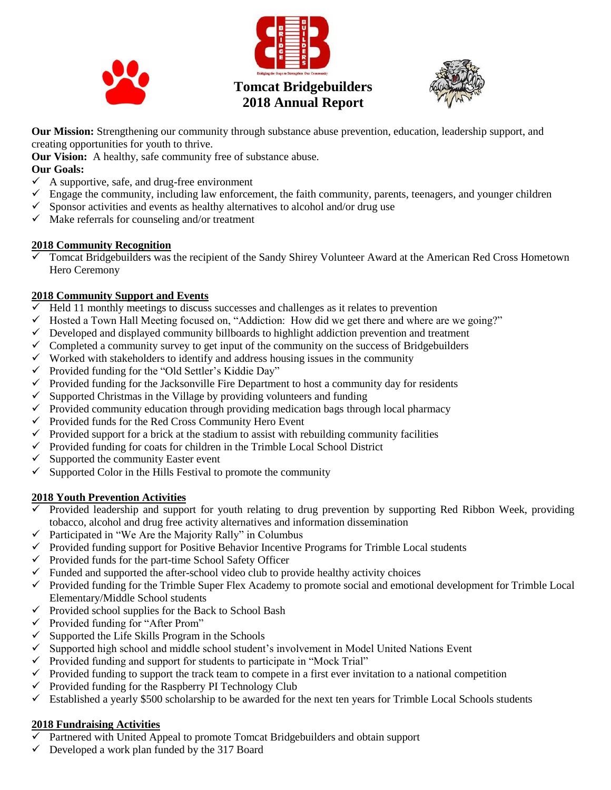





**Our Mission:** Strengthening our community through substance abuse prevention, education, leadership support, and creating opportunities for youth to thrive.

**Our Vision:** A healthy, safe community free of substance abuse.

#### **Our Goals:**

- $\checkmark$  A supportive, safe, and drug-free environment
- $\checkmark$  Engage the community, including law enforcement, the faith community, parents, teenagers, and younger children
- $\checkmark$  Sponsor activities and events as healthy alternatives to alcohol and/or drug use
- $\checkmark$  Make referrals for counseling and/or treatment

#### **2018 Community Recognition**

 Tomcat Bridgebuilders was the recipient of the Sandy Shirey Volunteer Award at the American Red Cross Hometown Hero Ceremony

## **2018 Community Support and Events**

- $\checkmark$  Held 11 monthly meetings to discuss successes and challenges as it relates to prevention
- $\checkmark$  Hosted a Town Hall Meeting focused on, "Addiction: How did we get there and where are we going?"
- $\checkmark$  Developed and displayed community billboards to highlight addiction prevention and treatment
- $\checkmark$  Completed a community survey to get input of the community on the success of Bridgebuilders
- $\checkmark$  Worked with stakeholders to identify and address housing issues in the community
- $\checkmark$  Provided funding for the "Old Settler's Kiddie Day"
- $\checkmark$  Provided funding for the Jacksonville Fire Department to host a community day for residents
- $\checkmark$  Supported Christmas in the Village by providing volunteers and funding
- $\checkmark$  Provided community education through providing medication bags through local pharmacy
- $\checkmark$  Provided funds for the Red Cross Community Hero Event
- $\checkmark$  Provided support for a brick at the stadium to assist with rebuilding community facilities
- $\checkmark$  Provided funding for coats for children in the Trimble Local School District
- $\checkmark$  Supported the community Easter event
- $\checkmark$  Supported Color in the Hills Festival to promote the community

## **2018 Youth Prevention Activities**

- $\checkmark$  Provided leadership and support for youth relating to drug prevention by supporting Red Ribbon Week, providing tobacco, alcohol and drug free activity alternatives and information dissemination
- $\checkmark$  Participated in "We Are the Majority Rally" in Columbus
- $\checkmark$  Provided funding support for Positive Behavior Incentive Programs for Trimble Local students
- $\checkmark$  Provided funds for the part-time School Safety Officer
- $\checkmark$  Funded and supported the after-school video club to provide healthy activity choices
- $\checkmark$  Provided funding for the Trimble Super Flex Academy to promote social and emotional development for Trimble Local Elementary/Middle School students
- $\checkmark$  Provided school supplies for the Back to School Bash
- $\checkmark$  Provided funding for "After Prom"
- $\checkmark$  Supported the Life Skills Program in the Schools
- $\checkmark$  Supported high school and middle school student's involvement in Model United Nations Event
- $\checkmark$  Provided funding and support for students to participate in "Mock Trial"
- $\checkmark$  Provided funding to support the track team to compete in a first ever invitation to a national competition
- $\checkmark$  Provided funding for the Raspberry PI Technology Club
- $\checkmark$  Established a yearly \$500 scholarship to be awarded for the next ten years for Trimble Local Schools students

## **2018 Fundraising Activities**

- $\overline{\smash[b]{\mathsf{}}\mathsf{}}$  Partnered with United Appeal to promote Tomcat Bridgebuilders and obtain support
- $\checkmark$  Developed a work plan funded by the 317 Board